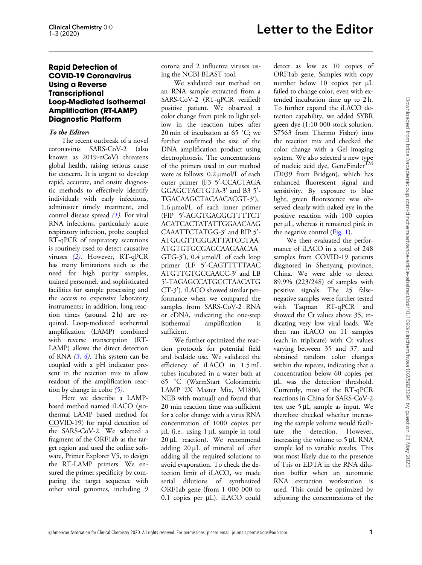## Rapid Detection of COVID-19 Coronavirus Using a Reverse **Transcriptional** Loop-Mediated Isothermal Amplification (RT-LAMP) Diagnostic Platform

### To the Editor:

The recent outbreak of a novel coronavirus SARS-CoV-2 (also known as 2019-nCoV) threatens global health, raising serious cause for concern. It is urgent to develop rapid, accurate, and onsite diagnostic methods to effectively identify individuals with early infections, administer timely treatment, and control disease spread  $(1)$  $(1)$ . For viral RNA infections, particularly acute respiratory infection, probe coupled RT-qPCR of respiratory secretions is routinely used to detect causative viruses [\(2](#page-1-0)). However, RT-qPCR has many limitations such as the need for high purity samples, trained personnel, and sophisticated facilities for sample processing and the access to expensive laboratory instruments; in addition, long reaction times (around 2 h) are required. Loop-mediated isothermal amplification (LAMP) combined with reverse transcription (RT-LAMP) allows the direct detection of RNA  $(3, 4)$  $(3, 4)$  $(3, 4)$  $(3, 4)$ . This system can be coupled with a pH indicator present in the reaction mix to allow readout of the amplification reaction by change in color  $(5)$  $(5)$ .

Here we describe a LAMPbased method named iLACO (isothermal LAMP based method for COVID-19) for rapid detection of the SARS-CoV-2. We selected a fragment of the ORF1ab as the target region and used the online software, Primer Explorer V5, to design the RT-LAMP primers. We ensured the primer specificity by comparing the target sequence with other viral genomes, including 9

corona and 2 influenza viruses using the NCBI BLAST tool.

We validated our method on an RNA sample extracted from a SARS-CoV-2 (RT-qPCR verified) positive patient. We observed a color change from pink to light yellow in the reaction tubes after 20 min of incubation at 65 ˚C; we further confirmed the size of the DNA amplification product using electrophoresis. The concentrations of the primers used in our method were as follows: 0.2  $\mu$ mol/L of each outer primer (F3 5'-CCACTAGA GGAGCTACTGTA-3' and B3 5'-TGACAAGCTACAACACGT-3'),  $1.6 \mu$ mol/L of each inner primer (FIP 5'-AGGTGAGGGTTTTCT ACATCACTATATTGGAACAAG CAAATTCTATGG-3' and BIP 5'-ATGGGTTGGGATTATCCTAA ATGTGTGCGAGCAAGAACAA GTG-3'), 0.4 µmol/L of each loop primer (LF 5'-CAGTTTTTAAC ATGTTGTGCCAACC-3' and LB 5'-TAGAGCCATGCCTAACATG CT-3'). iLACO showed similar performance when we compared the samples from SARS-CoV-2 RNA or cDNA, indicating the one-step isothermal amplification is sufficient.

We further optimized the reaction protocols for potential field and bedside use. We validated the efficiency of iLACO in 1.5 mL tubes incubated in a water bath at 65 ˚C (WarmStart Colorimetric LAMP 2X Master Mix, M1800, NEB with manual) and found that 20 min reaction time was sufficient for a color change with a virus RNA concentration of 1000 copies per  $\mu$ L (i.e., using 1  $\mu$ L sample in total  $20 \,\mu L$  reaction). We recommend adding 20 µL of mineral oil after adding all the required solutions to avoid evaporation. To check the detection limit of iLACO, we made serial dilutions of synthesized ORF1ab gene (from 1 000 000 to 0.1 copies per µL). iLACO could detect as low as 10 copies of ORF1ab gene. Samples with copy number below 10 copies per µL failed to change color, even with extended incubation time up to 2 h. To further expand the iLACO detection capability, we added SYBR green dye (1:10 000 stock solution, S7563 from Thermo Fisher) into the reaction mix and checked the color change with a Gel imaging system. We also selected a new type of nucleic acid dye, GeneFinder<sup>TM</sup> (D039 from Bridgen), which has enhanced fluorescent signal and sensitivity. By exposure to blue light, green fluorescence was observed clearly with naked eye in the positive reaction with 100 copies per µL, whereas it remained pink in the negative control ([Fig. 1](#page-1-0)).

We then evaluated the performance of iLACO in a total of 248 samples from COVID-19 patients diagnosed in Shenyang province, China. We were able to detect 89.9% (223/248) of samples with positive signals. The 25 falsenegative samples were further tested with Taqman RT-qPCR and showed the Ct values above 35, indicating very low viral loads. We then ran iLACO on 11 samples (each in triplicate) with Ct values varying between 35 and 37, and obtained random color changes within the repeats, indicating that a concentration below 60 copies per mL was the detection threshold. Currently, most of the RT-qPCR reactions in China for SARS-CoV-2 test use  $5 \mu L$  sample as input. We therefore checked whether increasing the sample volume would facilitate the detection. However, increasing the volume to  $5 \mu L$  RNA sample led to variable results. This was most likely due to the presence of Tris or EDTA in the RNA dilution buffer when an automatic RNA extraction workstation is used. This could be optimized by adjusting the concentrations of the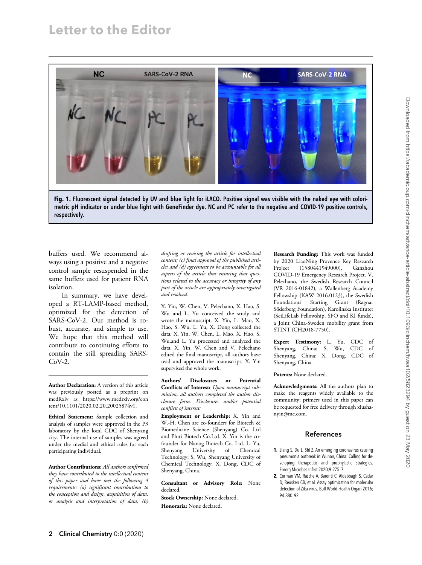<span id="page-1-0"></span>

Fig. 1. Fluorescent signal detected by UV and blue light for iLACO. Positive signal was visible with the naked eye with colorimetric pH indicator or under blue light with GeneFinder dye. NC and PC refer to the negative and COVID-19 positive controls, respectively.

buffers used. We recommend always using a positive and a negative control sample resuspended in the same buffers used for patient RNA isolation.

In summary, we have developed a RT-LAMP-based method, optimized for the detection of SARS-CoV-2. Our method is robust, accurate, and simple to use. We hope that this method will contribute to continuing efforts to contain the still spreading SARS-CoV-2.

Author Declaration: A version of this article was previously posted as a preprint on medRxiv as [https://www.medrxiv.org/con](https://www.medrxiv.org/content/10.1101/2020.02.20.20025874v1) [tent/10.1101/2020.02.20.20025874v1.](https://www.medrxiv.org/content/10.1101/2020.02.20.20025874v1)

Ethical Statement: Sample collection and analysis of samples were approved in the P3 laboratory by the local CDC of Shenyang city. The internal use of samples was agreed under the medial and ethical rules for each participating individual.

Author Contributions: All authors confirmed they have contributed to the intellectual content of this paper and have met the following 4 requirements: (a) significant contributions to the conception and design, acquisition of data, or analysis and interpretation of data; (b)

drafting or revising the article for intellectual content; (c) final approval of the published article; and (d) agreement to be accountable for all aspects of the article thus ensuring that questions related to the accuracy or integrity of any part of the article are appropriately investigated and resolved.

X. Yin, W. Chen, V. Pelechano, X. Hao, S. Wu and L. Yu conceived the study and wrote the manuscript. X. Yin, L. Mao, X. Hao, S. Wu, L. Yu, X. Dong collected the data. X. Yin, W. Chen, L. Mao, X. Hao, S. Wu.and L. Yu processed and analyzed the data. X. Yin, W. Chen and V. Pelechano edited the final manuscript, all authors have read and approved the manuscript. X. Yin supervised the whole work.

Authors' Disclosures or Potential Conflicts of Interest: Upon manuscript submission, all authors completed the author disclosure form. Disclosures and/or potential conflicts of interest:

Employment or Leadership: X. Yin and W.-H. Chen are co-founders for Biotech & Biomedicine Science (Shenyang) Co. Ltd and Pluri Biotech Co.Ltd. X. Yin is the cofounder for Nanog Biotech Co. Ltd. L. Yu, Shenyang University of Chemical Technology; S. Wu, Shenyang University of Chemical Technology; X. Dong, CDC of Shenyang, China.

Consultant or Advisory Role: None declared.

Stock Ownership: None declared. Honoraria: None declared.

Research Funding: This work was funded by 2020 LiaoNing Provence Key Research Project (1580441949000), Ganzhou COVID-19 Emergency Research Project. V. Pelechano, the Swedish Research Council (VR 2016-01842), a Wallenberg Academy Fellowship (KAW 2016.0123), the Swedish Foundations' Starting Grant (Ragnar Söderberg Foundation), Karolinska Institutet (SciLifeLab Fellowship, SFO and KI funds), a Joint China-Sweden mobility grant from STINT (CH2018-7750).

Expert Testimony: L. Yu, CDC of Shenyang, China; S. Wu, CDC of Shenyang, China; X. Dong, CDC of Shenyang, China.

#### Patents: None declared.

Acknowledgments: All the authors plan to make the reagents widely available to the community; primers used in this paper can be requested for free delivery through [xiusha](mailto:xiushanyin@me.com)[nyin@me.com.](mailto:xiushanyin@me.com)

## References

- 1. Jiang S, Du L, Shi Z. An emerging coronavirus causing pneumonia outbreak in Wuhan, China: Calling for developing therapeutic and prophylactic strategies. Emerg Microbes Infect 2020;9:275–7.
- 2. Corman VM, Rasche A, Baronti C, Aldabbagh S, Cadar D, Reusken CB, et al. Assay optimization for molecular detection of Zika virus. Bull World Health Organ 2016; 94:880–92.